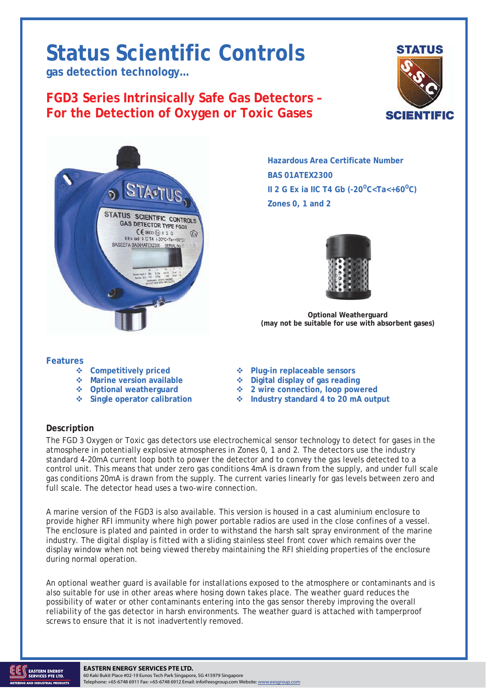# **Status Scientific Controls**

**gas detection technology…** 

## **FGD3 Series Intrinsically Safe Gas Detectors – For the Detection of Oxygen or Toxic Gases**





**Hazardous Area Certificate Number BAS 01ATEX2300 II 2 G Ex ia IIC T4 Gb (-20<sup>o</sup>C<Ta<+60<sup>o</sup>C) Zones 0, 1 and 2** 



**Optional Weatherguard (may not be suitable for use with absorbent gases)** 

#### **Features**

- 
- 
- 
- 
- ◆ Competitively priced **◆ Plug-in replaceable sensors**
- **Marine version available**  $\bullet$  **Digital display of gas reading**
- **Optional weatherguard 2 wire connection, loop powered**
- **Single operator calibration Industry standard 4 to 20 mA output**

### **Description**

The FGD 3 Oxygen or Toxic gas detectors use electrochemical sensor technology to detect for gases in the atmosphere in potentially explosive atmospheres in Zones 0, 1 and 2. The detectors use the industry standard 4-20mA current loop both to power the detector and to convey the gas levels detected to a control unit. This means that under zero gas conditions 4mA is drawn from the supply, and under full scale gas conditions 20mA is drawn from the supply. The current varies linearly for gas levels between zero and full scale. The detector head uses a two-wire connection.

A marine version of the FGD3 is also available. This version is housed in a cast aluminium enclosure to provide higher RFI immunity where high power portable radios are used in the close confines of a vessel. The enclosure is plated and painted in order to withstand the harsh salt spray environment of the marine industry. The digital display is fitted with a sliding stainless steel front cover which remains over the display window when not being viewed thereby maintaining the RFI shielding properties of the enclosure during normal operation.

An optional weather guard is available for installations exposed to the atmosphere or contaminants and is also suitable for use in other areas where hosing down takes place. The weather guard reduces the possibility of water or other contaminants entering into the gas sensor thereby improving the overall reliability of the gas detector in harsh environments. The weather guard is attached with tamperproof screws to ensure that it is not inadvertently removed.

#### TD06/124 Issue 7 12.10.12. Change Note: 1788 Page 1 **EASTERN ENERGY SERVICES PTE LTD.**

60 Kaki Bukit Place #02-19 Eunos Tech Park Singapore, SG 415979 Singapore Telephone: +65-6748 6911 Fax: +65-6748 6912 Email: info@eesgroup.com Website: www.eesgroup.com